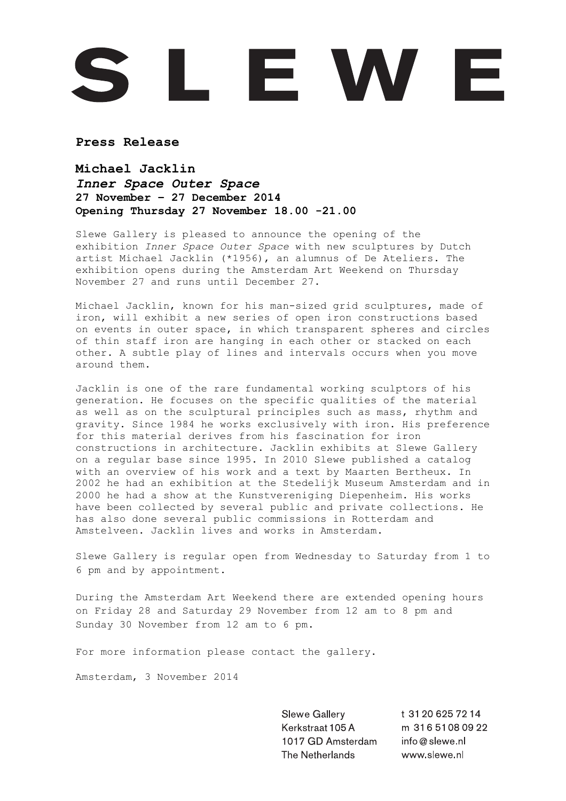## L E W E

**Press Release**

**Michael Jacklin** *Inner Space Outer Space* **27 November – 27 December 2014 Opening Thursday 27 November 18.00 -21.00**

Slewe Gallery is pleased to announce the opening of the exhibition *Inner Space Outer Space* with new sculptures by Dutch artist Michael Jacklin (\*1956), an alumnus of De Ateliers. The exhibition opens during the Amsterdam Art Weekend on Thursday November 27 and runs until December 27.

Michael Jacklin, known for his man-sized grid sculptures, made of iron, will exhibit a new series of open iron constructions based on events in outer space, in which transparent spheres and circles of thin staff iron are hanging in each other or stacked on each other. A subtle play of lines and intervals occurs when you move around them.

Jacklin is one of the rare fundamental working sculptors of his generation. He focuses on the specific qualities of the material as well as on the sculptural principles such as mass, rhythm and gravity. Since 1984 he works exclusively with iron. His preference for this material derives from his fascination for iron constructions in architecture. Jacklin exhibits at Slewe Gallery on a regular base since 1995. In 2010 Slewe published a catalog with an overview of his work and a text by Maarten Bertheux. In 2002 he had an exhibition at the Stedelijk Museum Amsterdam and in 2000 he had a show at the Kunstvereniging Diepenheim. His works have been collected by several public and private collections. He has also done several public commissions in Rotterdam and Amstelveen. Jacklin lives and works in Amsterdam.

Slewe Gallery is regular open from Wednesday to Saturday from 1 to 6 pm and by appointment.

During the Amsterdam Art Weekend there are extended opening hours on Friday 28 and Saturday 29 November from 12 am to 8 pm and Sunday 30 November from 12 am to 6 pm.

For more information please contact the gallery.

Amsterdam, 3 November 2014

Slewe Gallery Kerkstraat 105 A 1017 GD Amsterdam The Netherlands

t 31 20 6 25 7 2 14 m 316 5108 09 22 info@slewe.nl www.slewe.nl